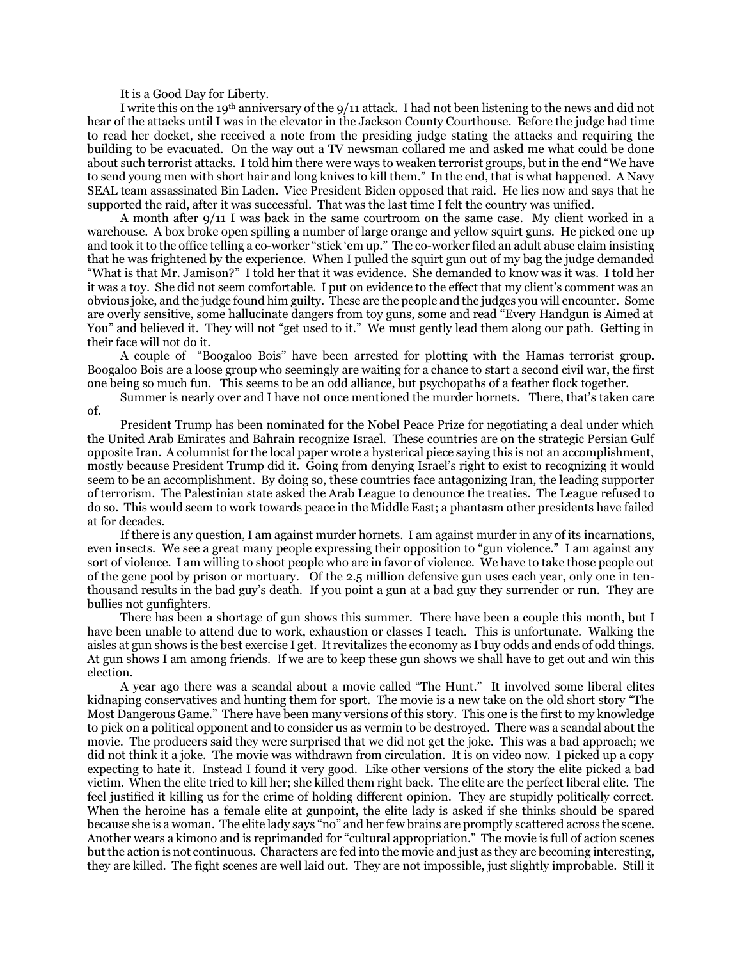It is a Good Day for Liberty.

I write this on the 19th anniversary of the 9/11 attack. I had not been listening to the news and did not hear of the attacks until I was in the elevator in the Jackson County Courthouse. Before the judge had time to read her docket, she received a note from the presiding judge stating the attacks and requiring the building to be evacuated. On the way out a TV newsman collared me and asked me what could be done about such terrorist attacks. I told him there were ways to weaken terrorist groups, but in the end "We have to send young men with short hair and long knives to kill them." In the end, that is what happened. A Navy SEAL team assassinated Bin Laden. Vice President Biden opposed that raid. He lies now and says that he supported the raid, after it was successful. That was the last time I felt the country was unified.

A month after 9/11 I was back in the same courtroom on the same case. My client worked in a warehouse. A box broke open spilling a number of large orange and yellow squirt guns. He picked one up and took it to the office telling a co-worker "stick 'em up." The co-worker filed an adult abuse claim insisting that he was frightened by the experience. When I pulled the squirt gun out of my bag the judge demanded "What is that Mr. Jamison?" I told her that it was evidence. She demanded to know was it was. I told her it was a toy. She did not seem comfortable. I put on evidence to the effect that my client's comment was an obvious joke, and the judge found him guilty. These are the people and the judges you will encounter. Some are overly sensitive, some hallucinate dangers from toy guns, some and read "Every Handgun is Aimed at You" and believed it. They will not "get used to it." We must gently lead them along our path. Getting in their face will not do it.

A couple of "Boogaloo Bois" have been arrested for plotting with the Hamas terrorist group. Boogaloo Bois are a loose group who seemingly are waiting for a chance to start a second civil war, the first one being so much fun. This seems to be an odd alliance, but psychopaths of a feather flock together.

Summer is nearly over and I have not once mentioned the murder hornets. There, that's taken care of.

President Trump has been nominated for the Nobel Peace Prize for negotiating a deal under which the United Arab Emirates and Bahrain recognize Israel. These countries are on the strategic Persian Gulf opposite Iran. A columnist for the local paper wrote a hysterical piece saying this is not an accomplishment, mostly because President Trump did it. Going from denying Israel's right to exist to recognizing it would seem to be an accomplishment. By doing so, these countries face antagonizing Iran, the leading supporter of terrorism. The Palestinian state asked the Arab League to denounce the treaties. The League refused to do so. This would seem to work towards peace in the Middle East; a phantasm other presidents have failed at for decades.

If there is any question, I am against murder hornets. I am against murder in any of its incarnations, even insects. We see a great many people expressing their opposition to "gun violence." I am against any sort of violence. I am willing to shoot people who are in favor of violence. We have to take those people out of the gene pool by prison or mortuary. Of the 2.5 million defensive gun uses each year, only one in tenthousand results in the bad guy's death. If you point a gun at a bad guy they surrender or run. They are bullies not gunfighters.

There has been a shortage of gun shows this summer. There have been a couple this month, but I have been unable to attend due to work, exhaustion or classes I teach. This is unfortunate. Walking the aisles at gun shows is the best exercise I get. It revitalizes the economy as I buy odds and ends of odd things. At gun shows I am among friends. If we are to keep these gun shows we shall have to get out and win this election.

A year ago there was a scandal about a movie called "The Hunt." It involved some liberal elites kidnaping conservatives and hunting them for sport. The movie is a new take on the old short story "The Most Dangerous Game." There have been many versions of this story. This one is the first to my knowledge to pick on a political opponent and to consider us as vermin to be destroyed. There was a scandal about the movie. The producers said they were surprised that we did not get the joke. This was a bad approach; we did not think it a joke. The movie was withdrawn from circulation. It is on video now. I picked up a copy expecting to hate it. Instead I found it very good. Like other versions of the story the elite picked a bad victim. When the elite tried to kill her; she killed them right back. The elite are the perfect liberal elite. The feel justified it killing us for the crime of holding different opinion. They are stupidly politically correct. When the heroine has a female elite at gunpoint, the elite lady is asked if she thinks should be spared because she is a woman. The elite lady says "no" and her few brains are promptly scattered across the scene. Another wears a kimono and is reprimanded for "cultural appropriation." The movie is full of action scenes but the action is not continuous. Characters are fed into the movie and just as they are becoming interesting, they are killed. The fight scenes are well laid out. They are not impossible, just slightly improbable. Still it